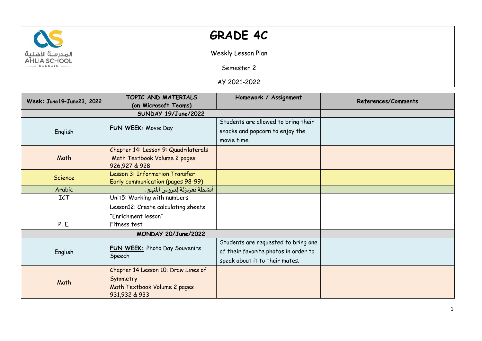

## **GRADE 4C**

Weekly Lesson Plan

Semester 2

AY 2021-2022

| Week: June19-June23, 2022 | TOPIC AND MATERIALS                     | Homework / Assignment                | References/Comments |
|---------------------------|-----------------------------------------|--------------------------------------|---------------------|
|                           | (on Microsoft Teams)                    |                                      |                     |
|                           | SUNDAY 19/June/2022                     |                                      |                     |
| English                   | FUN WEEK: Movie Day                     | Students are allowed to bring their  |                     |
|                           |                                         | snacks and popcorn to enjoy the      |                     |
|                           |                                         | movie time.                          |                     |
|                           | Chapter 14: Lesson 9: Quadrilaterals    |                                      |                     |
| Math                      | Math Textbook Volume 2 pages            |                                      |                     |
|                           | 926,927 & 928                           |                                      |                     |
| Science                   | Lesson 3: Information Transfer          |                                      |                     |
|                           | Early communication (pages 98-99)       |                                      |                     |
| Arabic                    | أنشطة تعزيزتَة لِدروس المنهج .          |                                      |                     |
| ICT                       | Unit5: Working with numbers             |                                      |                     |
|                           | Lesson12: Create calculating sheets     |                                      |                     |
|                           | "Enrichment lesson"                     |                                      |                     |
| P. E.                     | Fitness test                            |                                      |                     |
|                           | MONDAY 20/June/2022                     |                                      |                     |
| English                   | FUN WEEK: Photo Day Souvenirs<br>Speech | Students are requested to bring one  |                     |
|                           |                                         | of their favorite photos in order to |                     |
|                           |                                         | speak about it to their mates.       |                     |
|                           | Chapter 14 Lesson 10: Draw Lines of     |                                      |                     |
| Math                      | Symmetry                                |                                      |                     |
|                           | Math Textbook Volume 2 pages            |                                      |                     |
|                           | 931,932 & 933                           |                                      |                     |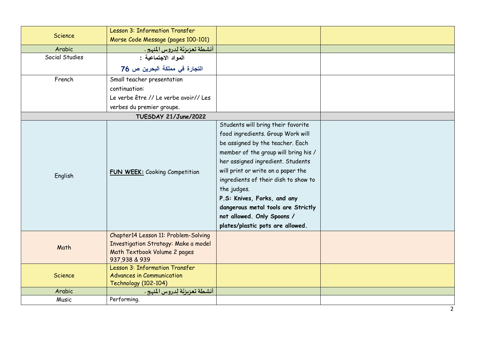| Science        | Lesson 3: Information Transfer                                                                                                |                                                                                                                                                                                                                                                                                                                                                                                                                              |  |
|----------------|-------------------------------------------------------------------------------------------------------------------------------|------------------------------------------------------------------------------------------------------------------------------------------------------------------------------------------------------------------------------------------------------------------------------------------------------------------------------------------------------------------------------------------------------------------------------|--|
|                | Morse Code Message (pages 100-101)                                                                                            |                                                                                                                                                                                                                                                                                                                                                                                                                              |  |
| Arabic         | أنشطة تعزيزتّة لِدروس المنهج .                                                                                                |                                                                                                                                                                                                                                                                                                                                                                                                                              |  |
| Social Studies | المواد الاجتماعية :                                                                                                           |                                                                                                                                                                                                                                                                                                                                                                                                                              |  |
|                | التجارة في مملكة البحرين ص 76                                                                                                 |                                                                                                                                                                                                                                                                                                                                                                                                                              |  |
| French         | Small teacher presentation                                                                                                    |                                                                                                                                                                                                                                                                                                                                                                                                                              |  |
|                | continuation:                                                                                                                 |                                                                                                                                                                                                                                                                                                                                                                                                                              |  |
|                | Le verbe être // Le verbe avoir// Les                                                                                         |                                                                                                                                                                                                                                                                                                                                                                                                                              |  |
|                | verbes du premier groupe.                                                                                                     |                                                                                                                                                                                                                                                                                                                                                                                                                              |  |
|                | TUESDAY 21/June/2022                                                                                                          |                                                                                                                                                                                                                                                                                                                                                                                                                              |  |
| English        | FUN WEEK: Cooking Competition                                                                                                 | Students will bring their favorite<br>food ingredients. Group Work will<br>be assigned by the teacher. Each<br>member of the group will bring his /<br>her assigned ingredient. Students<br>will print or write on a paper the<br>ingredients of their dish to show to<br>the judges.<br>P.S: Knives, Forks, and any<br>dangerous metal tools are Strictly<br>not allowed. Only Spoons /<br>plates/plastic pots are allowed. |  |
| Math           | Chapter14 Lesson 11: Problem-Solving<br>Investigation Strategy: Make a model<br>Math Textbook Volume 2 pages<br>937,938 & 939 |                                                                                                                                                                                                                                                                                                                                                                                                                              |  |
| Science        | Lesson 3: Information Transfer<br><b>Advances in Communication</b><br><b>Technology (102-104)</b>                             |                                                                                                                                                                                                                                                                                                                                                                                                                              |  |
| Arabic         | أنشطة تعزيزتَة لِدروس المنهج.                                                                                                 |                                                                                                                                                                                                                                                                                                                                                                                                                              |  |
| Music          | Performing.                                                                                                                   |                                                                                                                                                                                                                                                                                                                                                                                                                              |  |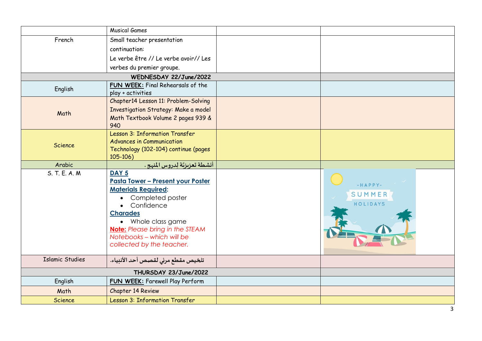|                        | <b>Musical Games</b>                      |  |           |
|------------------------|-------------------------------------------|--|-----------|
| French                 | Small teacher presentation                |  |           |
|                        | continuation:                             |  |           |
|                        | Le verbe être // Le verbe avoir// Les     |  |           |
|                        | verbes du premier groupe.                 |  |           |
| WEDNESDAY 22/June/2022 |                                           |  |           |
| English                | FUN WEEK: Final Rehearsals of the         |  |           |
|                        | play + activities                         |  |           |
|                        | Chapter14 Lesson 11: Problem-Solving      |  |           |
| Math                   | Investigation Strategy: Make a model      |  |           |
|                        | Math Textbook Volume 2 pages 939 &        |  |           |
|                        | 940                                       |  |           |
|                        | Lesson 3: Information Transfer            |  |           |
| Science                | <b>Advances in Communication</b>          |  |           |
|                        | Technology (102-104) continue (pages      |  |           |
|                        | $105 - 106$                               |  |           |
| Arabic                 | أنشطة تعزيزتَة لِدروس المنهج .            |  |           |
| S. T. E. A. M.         | DAY <sub>5</sub>                          |  |           |
|                        | <u> Pasta Tower - Present your Poster</u> |  | $-HAPPY-$ |
|                        | <b>Materials Required:</b>                |  | SUMMER    |
|                        | Completed poster<br>$\bullet$             |  | HOLIDAYS  |
|                        | Confidence<br>$\bullet$                   |  |           |
|                        | <b>Charades</b>                           |  |           |
|                        | • Whole class game                        |  |           |
|                        | <b>Note:</b> Please bring in the STEAM    |  |           |
|                        | Notebooks - which will be                 |  |           |
|                        | collected by the teacher.                 |  |           |
| <b>Islamic Studies</b> | تلخيص مقطع مرئي لقصص أحد الأنبياء.        |  |           |
| THURSDAY 23/June/2022  |                                           |  |           |
| English                | <b>FUN WEEK:</b> Farewell Play Perform    |  |           |
| Math                   | Chapter 14 Review                         |  |           |
| <b>Science</b>         | Lesson 3: Information Transfer            |  |           |